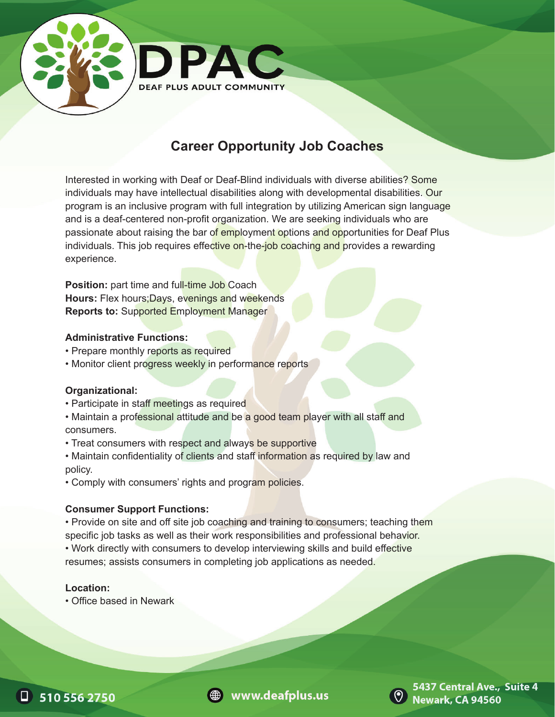

# **Career Opportunity Job Coaches**

Interested in working with Deaf or Deaf-Blind individuals with diverse abilities? Some individuals may have intellectual disabilities along with developmental disabilities. Our program is an inclusive program with full integration by utilizing American sign language and is a deaf-centered non-profit organization. We are seeking individuals who are passionate about raising the bar of employment options and opportunities for Deaf Plus individuals. This job requires effective on-the-job coaching and provides a rewarding experience.

**Position:** part time and full-time Job Coach **Hours:** Flex hours;Days, evenings and weekends **Reports to:** Supported Employment Manager

#### **Administrative Functions:**

- Prepare monthly reports as required
- Monitor client progress weekly in performance reports

#### **Organizational:**

- Participate in staff meetings as required
- Maintain a professional attitude and be a good team player with all staff and consumers.
- Treat consumers with respect and always be supportive
- Maintain confidentiality of clients and staff information as required by law and policy.
- Comply with consumers' rights and program policies.

### **Consumer Support Functions:**

• Provide on site and off site job coaching and training to consumers; teaching them specific job tasks as well as their work responsibilities and professional behavior. • Work directly with consumers to develop interviewing skills and build effective resumes; assists consumers in completing job applications as needed.

#### **Location:**

• Office based in Newark







5437 Central Ave., Suite 4 **Newark, CA 94560**